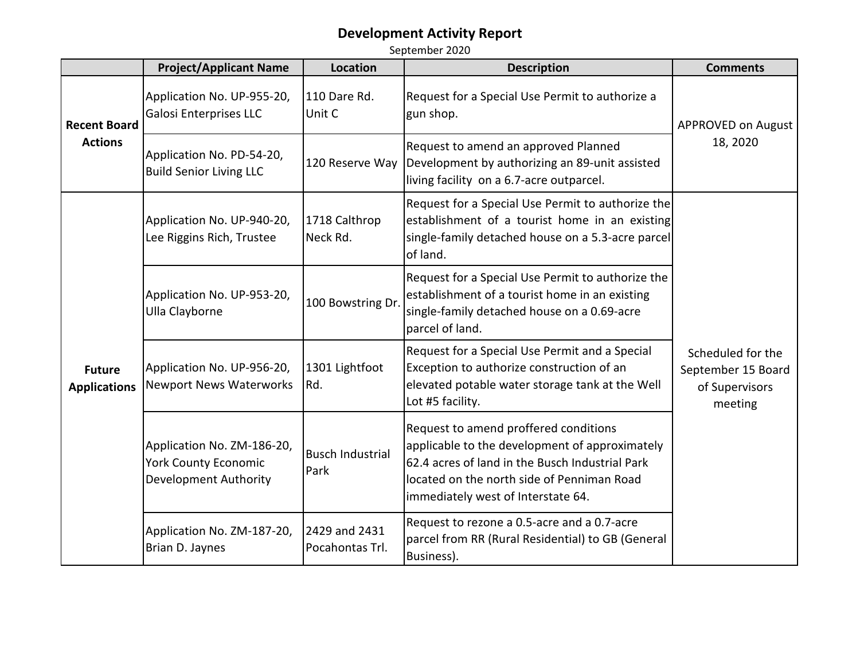|                                       | <b>Project/Applicant Name</b>                                                      | Location                         | <b>Description</b>                                                                                                                                                                                                             | <b>Comments</b>                                                      |
|---------------------------------------|------------------------------------------------------------------------------------|----------------------------------|--------------------------------------------------------------------------------------------------------------------------------------------------------------------------------------------------------------------------------|----------------------------------------------------------------------|
| <b>Recent Board</b><br><b>Actions</b> | Application No. UP-955-20,<br><b>Galosi Enterprises LLC</b>                        | 110 Dare Rd.<br>Unit C           | Request for a Special Use Permit to authorize a<br>gun shop.                                                                                                                                                                   | <b>APPROVED on August</b><br>18, 2020                                |
|                                       | Application No. PD-54-20,<br><b>Build Senior Living LLC</b>                        | 120 Reserve Way                  | Request to amend an approved Planned<br>Development by authorizing an 89-unit assisted<br>living facility on a 6.7-acre outparcel.                                                                                             |                                                                      |
| <b>Future</b><br><b>Applications</b>  | Application No. UP-940-20,<br>Lee Riggins Rich, Trustee                            | 1718 Calthrop<br>Neck Rd.        | Request for a Special Use Permit to authorize the<br>establishment of a tourist home in an existing<br>single-family detached house on a 5.3-acre parcel<br>of land.                                                           |                                                                      |
|                                       | Application No. UP-953-20,<br>Ulla Clayborne                                       | 100 Bowstring Dr                 | Request for a Special Use Permit to authorize the<br>establishment of a tourist home in an existing<br>single-family detached house on a 0.69-acre<br>parcel of land.                                                          |                                                                      |
|                                       | Application No. UP-956-20,<br><b>Newport News Waterworks</b>                       | 1301 Lightfoot<br>Rd.            | Request for a Special Use Permit and a Special<br>Exception to authorize construction of an<br>elevated potable water storage tank at the Well<br>Lot #5 facility.                                                             | Scheduled for the<br>September 15 Board<br>of Supervisors<br>meeting |
|                                       | Application No. ZM-186-20,<br><b>York County Economic</b><br>Development Authority | <b>Busch Industrial</b><br>Park  | Request to amend proffered conditions<br>applicable to the development of approximately<br>62.4 acres of land in the Busch Industrial Park<br>located on the north side of Penniman Road<br>immediately west of Interstate 64. |                                                                      |
|                                       | Application No. ZM-187-20,<br>Brian D. Jaynes                                      | 2429 and 2431<br>Pocahontas Trl. | Request to rezone a 0.5-acre and a 0.7-acre<br>parcel from RR (Rural Residential) to GB (General<br>Business).                                                                                                                 |                                                                      |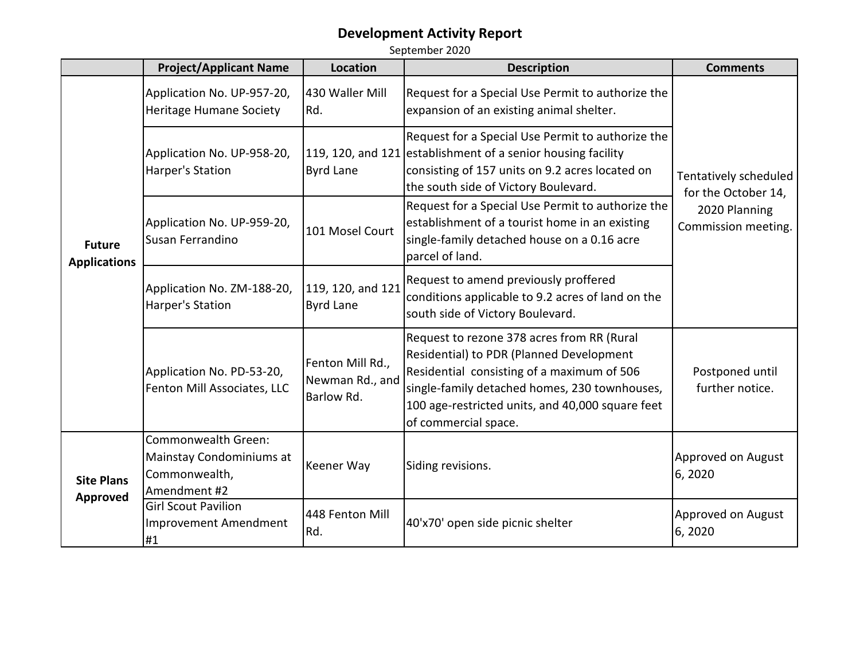|                                      | <b>Project/Applicant Name</b>                                                    | Location                                          | <b>Description</b>                                                                                                                                                                                                                                                | <b>Comments</b>                                                                      |
|--------------------------------------|----------------------------------------------------------------------------------|---------------------------------------------------|-------------------------------------------------------------------------------------------------------------------------------------------------------------------------------------------------------------------------------------------------------------------|--------------------------------------------------------------------------------------|
| <b>Future</b><br><b>Applications</b> | Application No. UP-957-20,<br><b>Heritage Humane Society</b>                     | 430 Waller Mill<br>Rd.                            | Request for a Special Use Permit to authorize the<br>expansion of an existing animal shelter.                                                                                                                                                                     | Tentatively scheduled<br>for the October 14,<br>2020 Planning<br>Commission meeting. |
|                                      | Application No. UP-958-20,<br>Harper's Station                                   | <b>Byrd Lane</b>                                  | Request for a Special Use Permit to authorize the<br>119, 120, and 121 establishment of a senior housing facility<br>consisting of 157 units on 9.2 acres located on<br>the south side of Victory Boulevard.                                                      |                                                                                      |
|                                      | Application No. UP-959-20,<br>Susan Ferrandino                                   | 101 Mosel Court                                   | Request for a Special Use Permit to authorize the<br>establishment of a tourist home in an existing<br>single-family detached house on a 0.16 acre<br>parcel of land.                                                                                             |                                                                                      |
|                                      | Application No. ZM-188-20,<br>Harper's Station                                   | 119, 120, and 121<br><b>Byrd Lane</b>             | Request to amend previously proffered<br>conditions applicable to 9.2 acres of land on the<br>south side of Victory Boulevard.                                                                                                                                    |                                                                                      |
|                                      | Application No. PD-53-20,<br>Fenton Mill Associates, LLC                         | Fenton Mill Rd.,<br>Newman Rd., and<br>Barlow Rd. | Request to rezone 378 acres from RR (Rural<br>Residential) to PDR (Planned Development<br>Residential consisting of a maximum of 506<br>single-family detached homes, 230 townhouses,<br>100 age-restricted units, and 40,000 square feet<br>of commercial space. | Postponed until<br>further notice.                                                   |
| <b>Site Plans</b><br>Approved        | Commonwealth Green:<br>Mainstay Condominiums at<br>Commonwealth,<br>Amendment #2 | Keener Way                                        | Siding revisions.                                                                                                                                                                                                                                                 | Approved on August<br>6,2020                                                         |
|                                      | <b>Girl Scout Pavilion</b><br><b>Improvement Amendment</b><br>#1                 | 448 Fenton Mill<br>Rd.                            | 40'x70' open side picnic shelter                                                                                                                                                                                                                                  | Approved on August<br>6,2020                                                         |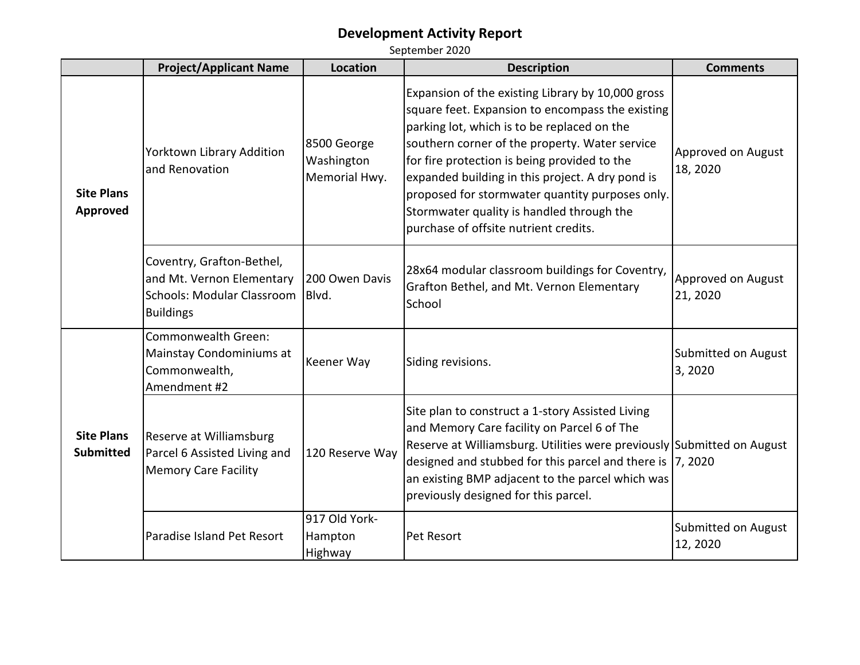|                                       | <b>Project/Applicant Name</b>                                                                            | <b>Location</b>                            | <b>Description</b>                                                                                                                                                                                                                                                                                                                                                                                                                                  | <b>Comments</b>                 |
|---------------------------------------|----------------------------------------------------------------------------------------------------------|--------------------------------------------|-----------------------------------------------------------------------------------------------------------------------------------------------------------------------------------------------------------------------------------------------------------------------------------------------------------------------------------------------------------------------------------------------------------------------------------------------------|---------------------------------|
| <b>Site Plans</b><br>Approved         | Yorktown Library Addition<br>and Renovation                                                              | 8500 George<br>Washington<br>Memorial Hwy. | Expansion of the existing Library by 10,000 gross<br>square feet. Expansion to encompass the existing<br>parking lot, which is to be replaced on the<br>southern corner of the property. Water service<br>for fire protection is being provided to the<br>expanded building in this project. A dry pond is<br>proposed for stormwater quantity purposes only.<br>Stormwater quality is handled through the<br>purchase of offsite nutrient credits. | Approved on August<br>18, 2020  |
|                                       | Coventry, Grafton-Bethel,<br>and Mt. Vernon Elementary<br>Schools: Modular Classroom<br><b>Buildings</b> | 200 Owen Davis<br>Blvd.                    | 28x64 modular classroom buildings for Coventry,<br>Grafton Bethel, and Mt. Vernon Elementary<br>School                                                                                                                                                                                                                                                                                                                                              | Approved on August<br>21, 2020  |
| <b>Site Plans</b><br><b>Submitted</b> | Commonwealth Green:<br>Mainstay Condominiums at<br>Commonwealth,<br>Amendment #2                         | Keener Way                                 | Siding revisions.                                                                                                                                                                                                                                                                                                                                                                                                                                   | Submitted on August<br>3,2020   |
|                                       | Reserve at Williamsburg<br>Parcel 6 Assisted Living and<br><b>Memory Care Facility</b>                   | 120 Reserve Way                            | Site plan to construct a 1-story Assisted Living<br>and Memory Care facility on Parcel 6 of The<br>Reserve at Williamsburg. Utilities were previously Submitted on August<br>designed and stubbed for this parcel and there is  7, 2020<br>an existing BMP adjacent to the parcel which was<br>previously designed for this parcel.                                                                                                                 |                                 |
|                                       | Paradise Island Pet Resort                                                                               | 917 Old York-<br>Hampton<br>Highway        | Pet Resort                                                                                                                                                                                                                                                                                                                                                                                                                                          | Submitted on August<br>12, 2020 |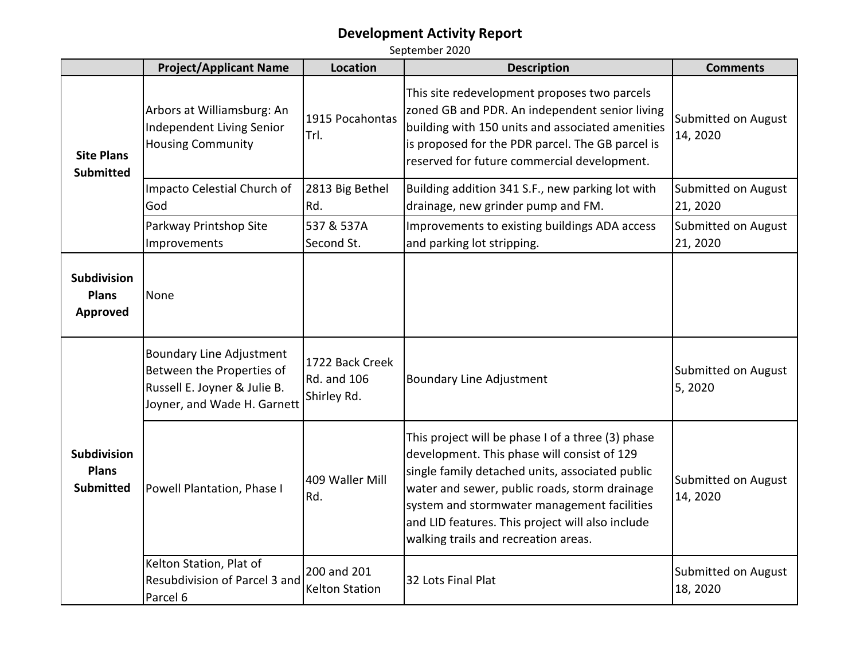|                                                        | <b>Project/Applicant Name</b>                                                                                               | <b>Location</b>                               | <b>Description</b>                                                                                                                                                                                                                                                                                                                              | <b>Comments</b>                 |
|--------------------------------------------------------|-----------------------------------------------------------------------------------------------------------------------------|-----------------------------------------------|-------------------------------------------------------------------------------------------------------------------------------------------------------------------------------------------------------------------------------------------------------------------------------------------------------------------------------------------------|---------------------------------|
| <b>Site Plans</b><br><b>Submitted</b>                  | Arbors at Williamsburg: An<br>Independent Living Senior<br><b>Housing Community</b>                                         | 1915 Pocahontas<br>Trl.                       | This site redevelopment proposes two parcels<br>zoned GB and PDR. An independent senior living<br>building with 150 units and associated amenities<br>is proposed for the PDR parcel. The GB parcel is<br>reserved for future commercial development.                                                                                           | Submitted on August<br>14, 2020 |
|                                                        | Impacto Celestial Church of<br>God                                                                                          | 2813 Big Bethel<br>Rd.                        | Building addition 341 S.F., new parking lot with<br>drainage, new grinder pump and FM.                                                                                                                                                                                                                                                          | Submitted on August<br>21, 2020 |
|                                                        | Parkway Printshop Site<br>Improvements                                                                                      | 537 & 537A<br>Second St.                      | Improvements to existing buildings ADA access<br>and parking lot stripping.                                                                                                                                                                                                                                                                     | Submitted on August<br>21, 2020 |
| Subdivision<br><b>Plans</b><br><b>Approved</b>         | None                                                                                                                        |                                               |                                                                                                                                                                                                                                                                                                                                                 |                                 |
| <b>Subdivision</b><br><b>Plans</b><br><b>Submitted</b> | <b>Boundary Line Adjustment</b><br>Between the Properties of<br>Russell E. Joyner & Julie B.<br>Joyner, and Wade H. Garnett | 1722 Back Creek<br>Rd. and 106<br>Shirley Rd. | <b>Boundary Line Adjustment</b>                                                                                                                                                                                                                                                                                                                 | Submitted on August<br>5,2020   |
|                                                        | Powell Plantation, Phase I                                                                                                  | 409 Waller Mill<br>Rd.                        | This project will be phase I of a three (3) phase<br>development. This phase will consist of 129<br>single family detached units, associated public<br>water and sewer, public roads, storm drainage<br>system and stormwater management facilities<br>and LID features. This project will also include<br>walking trails and recreation areas. | Submitted on August<br>14, 2020 |
|                                                        | Kelton Station, Plat of<br>Resubdivision of Parcel 3 and<br>Parcel 6                                                        | 200 and 201<br><b>Kelton Station</b>          | 32 Lots Final Plat                                                                                                                                                                                                                                                                                                                              | Submitted on August<br>18, 2020 |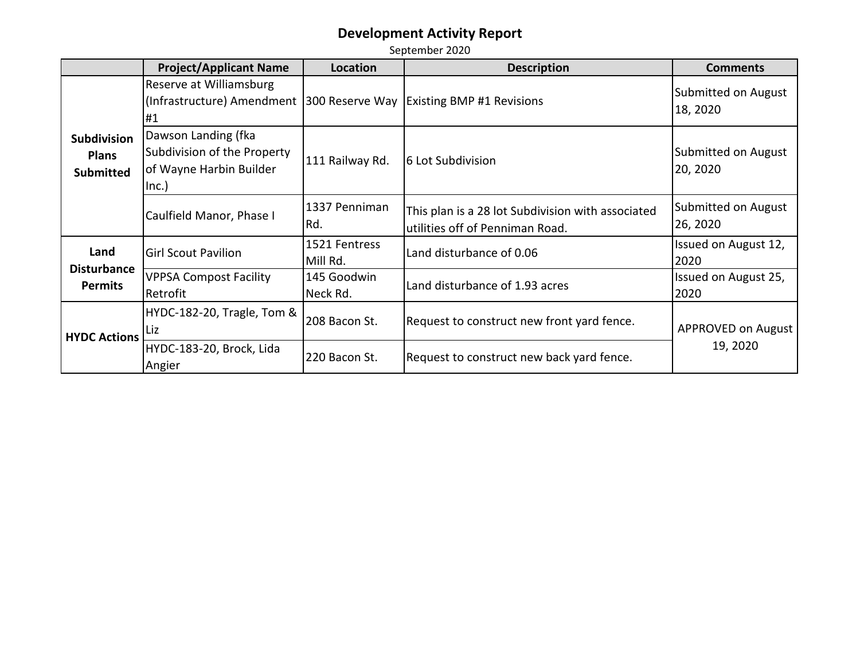|                                                        | <b>Project/Applicant Name</b>                                                          | Location                  | <b>Description</b>                                                                   | <b>Comments</b>                 |
|--------------------------------------------------------|----------------------------------------------------------------------------------------|---------------------------|--------------------------------------------------------------------------------------|---------------------------------|
| <b>Subdivision</b><br><b>Plans</b><br><b>Submitted</b> | Reserve at Williamsburg<br>(Infrastructure) Amendment<br>#1                            | 300 Reserve Way           | <b>Existing BMP #1 Revisions</b>                                                     | Submitted on August<br>18, 2020 |
|                                                        | Dawson Landing (fka<br>Subdivision of the Property<br>of Wayne Harbin Builder<br>Inc.) | 111 Railway Rd.           | 6 Lot Subdivision                                                                    | Submitted on August<br>20, 2020 |
|                                                        | Caulfield Manor, Phase I                                                               | 1337 Penniman<br>Rd.      | This plan is a 28 lot Subdivision with associated<br>utilities off of Penniman Road. | Submitted on August<br>26, 2020 |
| Land<br><b>Disturbance</b><br><b>Permits</b>           | <b>Girl Scout Pavilion</b>                                                             | 1521 Fentress<br>Mill Rd. | Land disturbance of 0.06                                                             | Issued on August 12,<br>2020    |
|                                                        | <b>VPPSA Compost Facility</b><br>Retrofit                                              | 145 Goodwin<br>Neck Rd.   | Land disturbance of 1.93 acres                                                       | Issued on August 25,<br>2020    |
| <b>HYDC Actions</b>                                    | HYDC-182-20, Tragle, Tom &<br>Liz                                                      | 208 Bacon St.             | Request to construct new front yard fence.                                           | <b>APPROVED on August</b>       |
|                                                        | HYDC-183-20, Brock, Lida<br>Angier                                                     | 220 Bacon St.             | Request to construct new back yard fence.                                            | 19, 2020                        |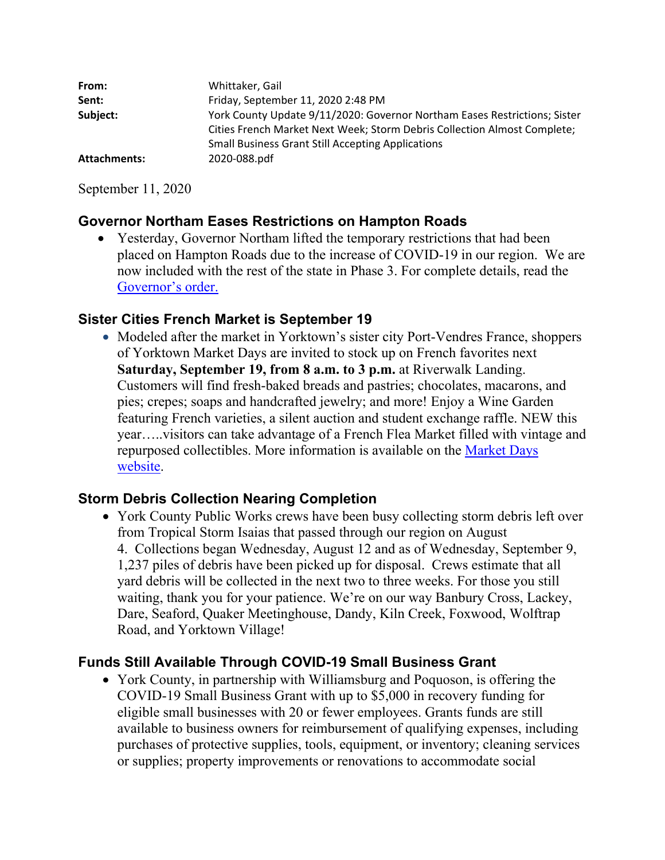| From:        | Whittaker, Gail                                                           |
|--------------|---------------------------------------------------------------------------|
| Sent:        | Friday, September 11, 2020 2:48 PM                                        |
| Subject:     | York County Update 9/11/2020: Governor Northam Eases Restrictions; Sister |
|              | Cities French Market Next Week; Storm Debris Collection Almost Complete;  |
|              | <b>Small Business Grant Still Accepting Applications</b>                  |
| Attachments: | 2020-088.pdf                                                              |

September 11, 2020

## **Governor Northam Eases Restrictions on Hampton Roads**

• Yesterday, Governor Northam lifted the temporary restrictions that had been placed on Hampton Roads due to the increase of COVID-19 in our region. We are now included with the rest of the state in Phase 3. For complete details, read the Governor's order.

### **Sister Cities French Market is September 19**

• Modeled after the market in Yorktown's sister city Port-Vendres France, shoppers of Yorktown Market Days are invited to stock up on French favorites next **Saturday, September 19, from 8 a.m. to 3 p.m.** at Riverwalk Landing. Customers will find fresh-baked breads and pastries; chocolates, macarons, and pies; crepes; soaps and handcrafted jewelry; and more! Enjoy a Wine Garden featuring French varieties, a silent auction and student exchange raffle. NEW this year…..visitors can take advantage of a French Flea Market filled with vintage and repurposed collectibles. More information is available on the Market Days website.

### **Storm Debris Collection Nearing Completion**

• York County Public Works crews have been busy collecting storm debris left over from Tropical Storm Isaias that passed through our region on August 4. Collections began Wednesday, August 12 and as of Wednesday, September 9, 1,237 piles of debris have been picked up for disposal. Crews estimate that all yard debris will be collected in the next two to three weeks. For those you still waiting, thank you for your patience. We're on our way Banbury Cross, Lackey, Dare, Seaford, Quaker Meetinghouse, Dandy, Kiln Creek, Foxwood, Wolftrap Road, and Yorktown Village!

## **Funds Still Available Through COVID-19 Small Business Grant**

 York County, in partnership with Williamsburg and Poquoson, is offering the COVID-19 Small Business Grant with up to \$5,000 in recovery funding for eligible small businesses with 20 or fewer employees. Grants funds are still available to business owners for reimbursement of qualifying expenses, including purchases of protective supplies, tools, equipment, or inventory; cleaning services or supplies; property improvements or renovations to accommodate social